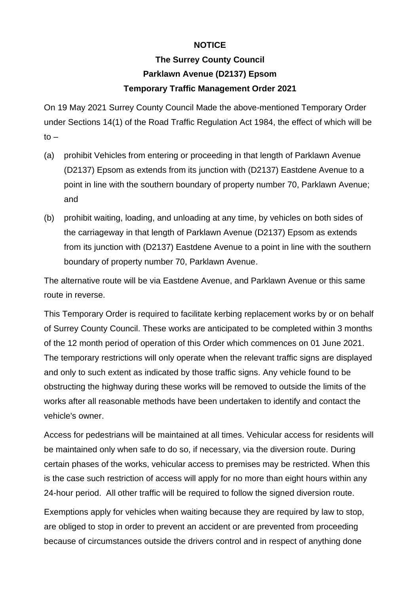## **NOTICE**

## **The Surrey County Council Parklawn Avenue (D2137) Epsom Temporary Traffic Management Order 2021**

On 19 May 2021 Surrey County Council Made the above-mentioned Temporary Order under Sections 14(1) of the Road Traffic Regulation Act 1984, the effect of which will be  $to -$ 

- (a) prohibit Vehicles from entering or proceeding in that length of Parklawn Avenue (D2137) Epsom as extends from its junction with (D2137) Eastdene Avenue to a point in line with the southern boundary of property number 70, Parklawn Avenue; and
- (b) prohibit waiting, loading, and unloading at any time, by vehicles on both sides of the carriageway in that length of Parklawn Avenue (D2137) Epsom as extends from its junction with (D2137) Eastdene Avenue to a point in line with the southern boundary of property number 70, Parklawn Avenue.

The alternative route will be via Eastdene Avenue, and Parklawn Avenue or this same route in reverse.

This Temporary Order is required to facilitate kerbing replacement works by or on behalf of Surrey County Council. These works are anticipated to be completed within 3 months of the 12 month period of operation of this Order which commences on 01 June 2021. The temporary restrictions will only operate when the relevant traffic signs are displayed and only to such extent as indicated by those traffic signs. Any vehicle found to be obstructing the highway during these works will be removed to outside the limits of the works after all reasonable methods have been undertaken to identify and contact the vehicle's owner.

Access for pedestrians will be maintained at all times. Vehicular access for residents will be maintained only when safe to do so, if necessary, via the diversion route. During certain phases of the works, vehicular access to premises may be restricted. When this is the case such restriction of access will apply for no more than eight hours within any 24-hour period. All other traffic will be required to follow the signed diversion route.

Exemptions apply for vehicles when waiting because they are required by law to stop, are obliged to stop in order to prevent an accident or are prevented from proceeding because of circumstances outside the drivers control and in respect of anything done